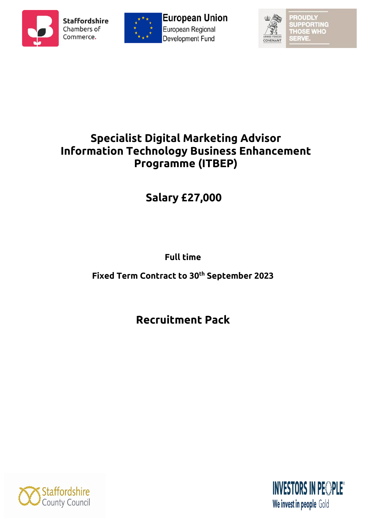





**OUDL UPPORTING THOSE WHO** SERVE

## **Specialist Digital Marketing Advisor Information Technology Business Enhancement Programme (ITBEP)**

# **Salary £27,000**

**Full time**

**Fixed Term Contract to 30th September 2023** 

**Recruitment Pack**



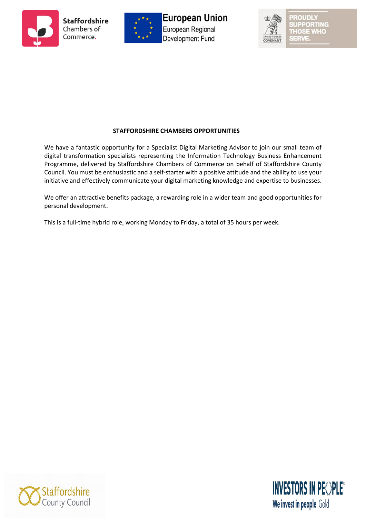





 $|| \cdot ||$   $|| \cdot ||$ **JPPORTING THOSE WHO** starve

#### **STAFFORDSHIRE CHAMBERS OPPORTUNITIES**

We have a fantastic opportunity for a Specialist Digital Marketing Advisor to join our small team of digital transformation specialists representing the Information Technology Business Enhancement Programme, delivered by Staffordshire Chambers of Commerce on behalf of Staffordshire County Council. You must be enthusiastic and a self-starter with a positive attitude and the ability to use your initiative and effectively communicate your digital marketing knowledge and expertise to businesses.

We offer an attractive benefits package, a rewarding role in a wider team and good opportunities for personal development.

This is a full-time hybrid role, working Monday to Friday, a total of 35 hours per week.



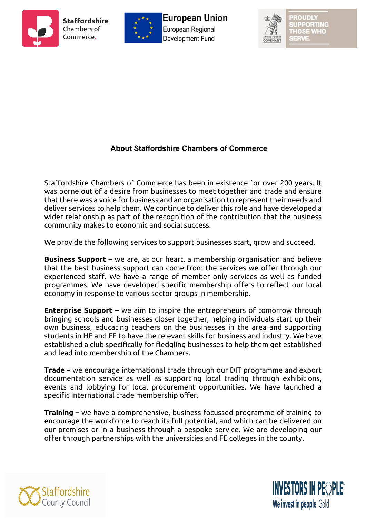





 $11121$ **UPPORTING THOSE WHO** aarva

## **About Staffordshire Chambers of Commerce**

Staffordshire Chambers of Commerce has been in existence for over 200 years. It was borne out of a desire from businesses to meet together and trade and ensure that there was a voice for business and an organisation to represent their needs and deliver services to help them. We continue to deliver this role and have developed a wider relationship as part of the recognition of the contribution that the business community makes to economic and social success.

We provide the following services to support businesses start, grow and succeed.

**Business Support –** we are, at our heart, a membership organisation and believe that the best business support can come from the services we offer through our experienced staff. We have a range of member only services as well as funded programmes. We have developed specific membership offers to reflect our local economy in response to various sector groups in membership.

**Enterprise Support –** we aim to inspire the entrepreneurs of tomorrow through bringing schools and businesses closer together, helping individuals start up their own business, educating teachers on the businesses in the area and supporting students in HE and FE to have the relevant skills for business and industry. We have established a club specifically for fledgling businesses to help them get established and lead into membership of the Chambers.

**Trade –** we encourage international trade through our DIT programme and export documentation service as well as supporting local trading through exhibitions, events and lobbying for local procurement opportunities. We have launched a specific international trade membership offer.

**Training –** we have a comprehensive, business focussed programme of training to encourage the workforce to reach its full potential, and which can be delivered on our premises or in a business through a bespoke service. We are developing our offer through partnerships with the universities and FE colleges in the county.



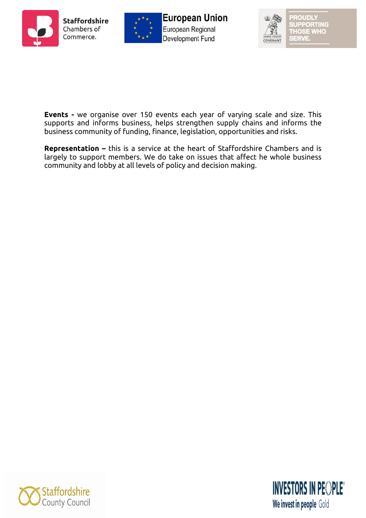





**ROUDLY** SUPPORTING<br>THOSE WHO

**Events -** we organise over 150 events each year of varying scale and size. This supports and informs business, helps strengthen supply chains and informs the business community of funding, finance, legislation, opportunities and risks.

**Representation –** this is a service at the heart of Staffordshire Chambers and is largely to support members. We do take on issues that affect he whole business community and lobby at all levels of policy and decision making.



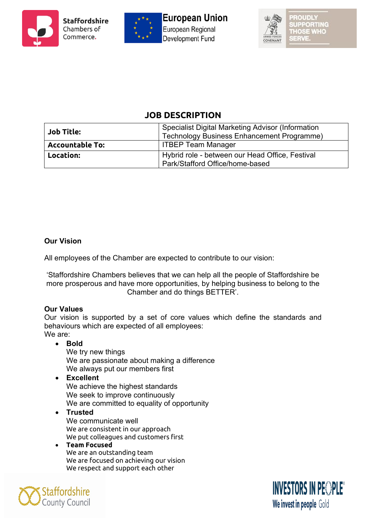





## **JOB DESCRIPTION**

| <b>Job Title:</b>      | <b>Specialist Digital Marketing Advisor (Information</b><br>Technology Business Enhancement Programme) |  |
|------------------------|--------------------------------------------------------------------------------------------------------|--|
| <b>Accountable To:</b> | <b>ITBEP Team Manager</b>                                                                              |  |
| Location:              | Hybrid role - between our Head Office, Festival<br>Park/Stafford Office/home-based                     |  |

#### **Our Vision**

All employees of the Chamber are expected to contribute to our vision:

'Staffordshire Chambers believes that we can help all the people of Staffordshire be more prosperous and have more opportunities, by helping business to belong to the Chamber and do things BETTER'.

#### **Our Values**

Our vision is supported by a set of core values which define the standards and behaviours which are expected of all employees: We are:

• **Bold**

We try new things We are passionate about making a difference We always put our members first

- **Excellent**  We achieve the highest standards We seek to improve continuously We are committed to equality of opportunity
- **Trusted** We communicate well We are consistent in our approach We put colleagues and customers first
- **Team Focused**  We are an outstanding team We are focused on achieving our vision We respect and support each other



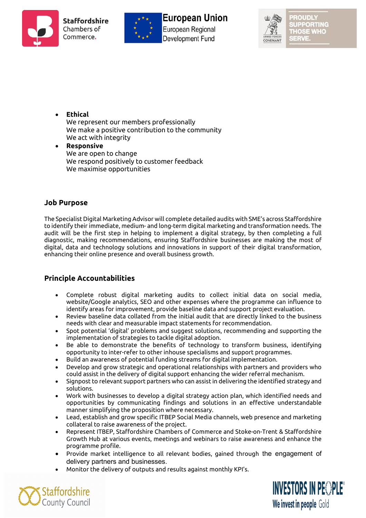







 $(0)$   $(1)$   $(0)$   $(0)$ **UPPORTING THOSE WHO** SERVE

- **Ethical** We represent our members professionally We make a positive contribution to the community We act with integrity • **Responsive**
	- We are open to change We respond positively to customer feedback We maximise opportunities

#### **Job Purpose**

The Specialist Digital Marketing Advisor will complete detailed audits with SME's across Staffordshire to identify their immediate, medium- and long-term digital marketing and transformation needs. The audit will be the first step in helping to implement a digital strategy, by then completing a full diagnostic, making recommendations, ensuring Staffordshire businesses are making the most of digital, data and technology solutions and innovations in support of their digital transformation, enhancing their online presence and overall business growth.

#### **Principle Accountabilities**

- Complete robust digital marketing audits to collect initial data on social media, website/Google analytics, SEO and other expenses where the programme can influence to identify areas for improvement, provide baseline data and support project evaluation.
- Review baseline data collated from the initial audit that are directly linked to the business needs with clear and measurable impact statements for recommendation.
- Spot potential 'digital' problems and suggest solutions, recommending and supporting the implementation of strategies to tackle digital adoption.
- Be able to demonstrate the benefits of technology to transform business, identifying opportunity to inter-refer to other inhouse specialisms and support programmes.
- Build an awareness of potential funding streams for digital implementation.
- Develop and grow strategic and operational relationships with partners and providers who could assist in the delivery of digital support enhancing the wider referral mechanism.
- Signpost to relevant support partners who can assist in delivering the identified strategy and solutions.
- Work with businesses to develop a digital strategy action plan, which identified needs and opportunities by communicating findings and solutions in an effective understandable manner simplifying the proposition where necessary.
- Lead, establish and grow specific ITBEP Social Media channels, web presence and marketing collateral to raise awareness of the project.
- Represent ITBEP, Staffordshire Chambers of Commerce and Stoke-on-Trent & Staffordshire Growth Hub at various events, meetings and webinars to raise awareness and enhance the programme profile.
- Provide market intelligence to all relevant bodies, gained through the engagement of delivery partners and businesses.
- Monitor the delivery of outputs and results against monthly KPI's.



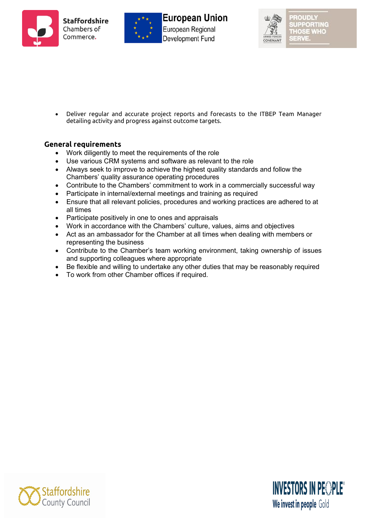



**European Union** European Regional Development Fund



• Deliver regular and accurate project reports and forecasts to the ITBEP Team Manager detailing activity and progress against outcome targets.

#### **General requirements**

- Work diligently to meet the requirements of the role
- Use various CRM systems and software as relevant to the role
- Always seek to improve to achieve the highest quality standards and follow the Chambers' quality assurance operating procedures
- Contribute to the Chambers' commitment to work in a commercially successful way
- Participate in internal/external meetings and training as required
- Ensure that all relevant policies, procedures and working practices are adhered to at all times
- Participate positively in one to ones and appraisals
- Work in accordance with the Chambers' culture, values, aims and objectives
- Act as an ambassador for the Chamber at all times when dealing with members or representing the business
- Contribute to the Chamber's team working environment, taking ownership of issues and supporting colleagues where appropriate
- Be flexible and willing to undertake any other duties that may be reasonably required
- To work from other Chamber offices if required.



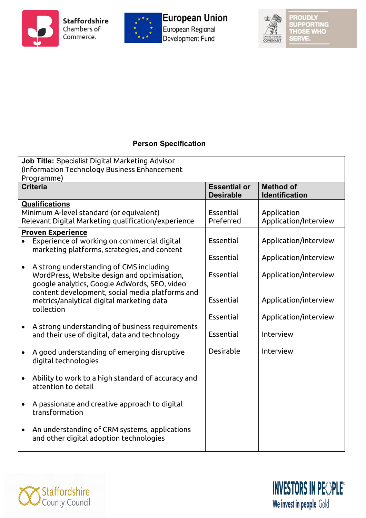



## European Union European Regional Development Fund



**PROUDLY** SUPPORTING<br>THOSE WHO<br>SERVE.

## **Person Specification**

| Job Title: Specialist Digital Marketing Advisor<br>(Information Technology Business Enhancement<br>Programme)                                                                             |                                         |                                                |  |  |  |
|-------------------------------------------------------------------------------------------------------------------------------------------------------------------------------------------|-----------------------------------------|------------------------------------------------|--|--|--|
| <b>Criteria</b>                                                                                                                                                                           | <b>Essential or</b><br><b>Desirable</b> | <b>Method of</b><br><b>Identification</b>      |  |  |  |
| <b>Qualifications</b><br>Minimum A-level standard (or equivalent)<br>Relevant Digital Marketing qualification/experience                                                                  | Essential<br>Preferred                  | Application<br>Application/Interview           |  |  |  |
| <b>Proven Experience</b><br>Experience of working on commercial digital<br>marketing platforms, strategies, and content                                                                   | Essential                               | Application/interview                          |  |  |  |
| A strong understanding of CMS including<br>WordPress, Website design and optimisation,<br>google analytics, Google AdWords, SEO, video<br>content development, social media platforms and | Essential<br>Essential<br>Essential     | Application/interview<br>Application/interview |  |  |  |
| metrics/analytical digital marketing data<br>collection                                                                                                                                   | Essential                               | Application/interview<br>Application/interview |  |  |  |
| A strong understanding of business requirements<br>$\bullet$<br>and their use of digital, data and technology                                                                             | Essential                               | Interview                                      |  |  |  |
| A good understanding of emerging disruptive<br>digital technologies                                                                                                                       | Desirable                               | Interview                                      |  |  |  |
| Ability to work to a high standard of accuracy and<br>attention to detail                                                                                                                 |                                         |                                                |  |  |  |
| A passionate and creative approach to digital<br>transformation                                                                                                                           |                                         |                                                |  |  |  |
| An understanding of CRM systems, applications<br>and other digital adoption technologies                                                                                                  |                                         |                                                |  |  |  |



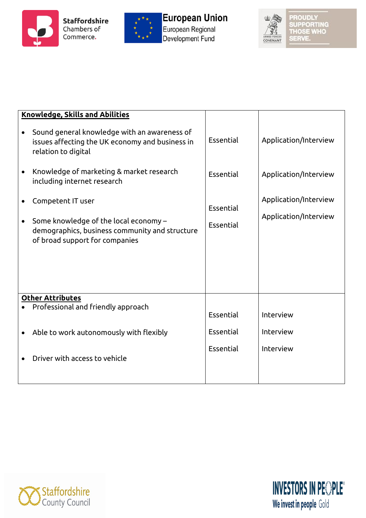





PROUDLY<br>SUPPORTING<br>THOSE WHO<br>SERVE.

| <b>Knowledge, Skills and Abilities</b> |                                                                                                                                                |                        |                                                |
|----------------------------------------|------------------------------------------------------------------------------------------------------------------------------------------------|------------------------|------------------------------------------------|
|                                        | Sound general knowledge with an awareness of<br>issues affecting the UK economy and business in<br>relation to digital                         | Essential              | Application/Interview                          |
|                                        | Knowledge of marketing & market research<br>including internet research                                                                        | Essential              | Application/Interview                          |
|                                        | Competent IT user<br>Some knowledge of the local economy -<br>demographics, business community and structure<br>of broad support for companies | Essential<br>Essential | Application/Interview<br>Application/Interview |
|                                        | <b>Other Attributes</b>                                                                                                                        |                        |                                                |
|                                        | Professional and friendly approach                                                                                                             | Essential              | Interview                                      |
|                                        | Able to work autonomously with flexibly                                                                                                        | Essential              | Interview                                      |
|                                        | Driver with access to vehicle                                                                                                                  | Essential              | Interview                                      |



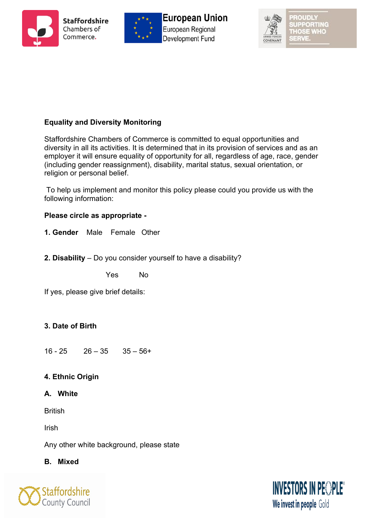





UPPORTING THOSE WHO aarva

## **Equality and Diversity Monitoring**

Staffordshire Chambers of Commerce is committed to equal opportunities and diversity in all its activities. It is determined that in its provision of services and as an employer it will ensure equality of opportunity for all, regardless of age, race, gender (including gender reassignment), disability, marital status, sexual orientation, or religion or personal belief.

To help us implement and monitor this policy please could you provide us with the following information:

#### **Please circle as appropriate -**

**1. Gender** Male Female Other

**2. Disability** – Do you consider yourself to have a disability?

Yes No

If yes, please give brief details:

## **3. Date of Birth**

 $16 - 25$   $26 - 35$   $35 - 56 +$ 

## **4. Ethnic Origin**

#### **A. White**

**British** 

Irish

Any other white background, please state

#### **B. Mixed**



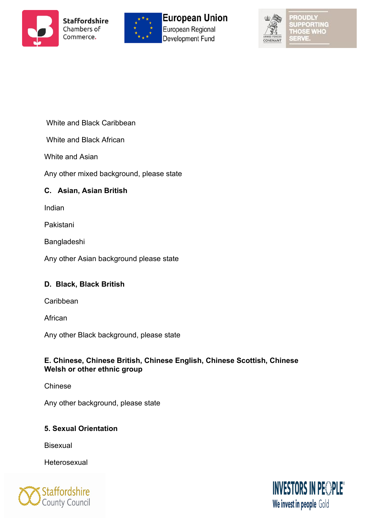







ORTING THOSE WHO a a sub

White and Black Caribbean

White and Black African

White and Asian

Any other mixed background, please state

## **C. Asian, Asian British**

Indian

Pakistani

Bangladeshi

Any other Asian background please state

## **D. Black, Black British**

Caribbean

African

Any other Black background, please state

## **E. Chinese, Chinese British, Chinese English, Chinese Scottish, Chinese Welsh or other ethnic group**

Chinese

Any other background, please state

## **5. Sexual Orientation**

**Bisexual** 

**Heterosexual** 



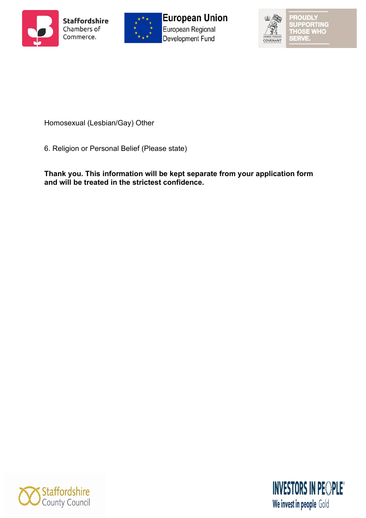





ROUDLY **UPPORTING THOSE WHO SERVE** 

Homosexual (Lesbian/Gay) Other

6. Religion or Personal Belief (Please state)

**Thank you. This information will be kept separate from your application form and will be treated in the strictest confidence.**



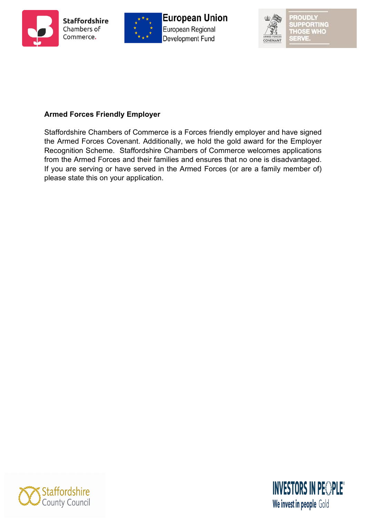





#### **Armed Forces Friendly Employer**

Staffordshire Chambers of Commerce is a Forces friendly employer and have signed the Armed Forces Covenant. Additionally, we hold the gold award for the Employer Recognition Scheme. Staffordshire Chambers of Commerce welcomes applications from the Armed Forces and their families and ensures that no one is disadvantaged. If you are serving or have served in the Armed Forces (or are a family member of) please state this on your application.



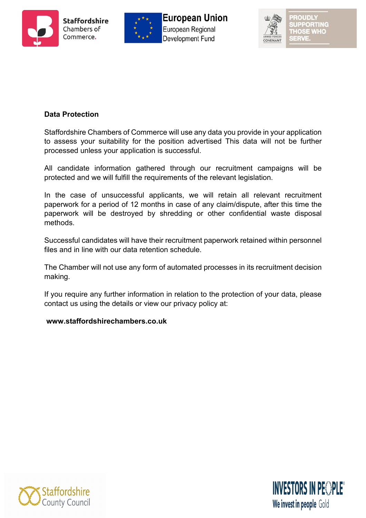





#### **Data Protection**

Staffordshire Chambers of Commerce will use any data you provide in your application to assess your suitability for the position advertised This data will not be further processed unless your application is successful.

All candidate information gathered through our recruitment campaigns will be protected and we will fulfill the requirements of the relevant legislation.

In the case of unsuccessful applicants, we will retain all relevant recruitment paperwork for a period of 12 months in case of any claim/dispute, after this time the paperwork will be destroyed by shredding or other confidential waste disposal methods.

Successful candidates will have their recruitment paperwork retained within personnel files and in line with our data retention schedule.

The Chamber will not use any form of automated processes in its recruitment decision making.

If you require any further information in relation to the protection of your data, please contact us using the details or view our privacy policy at:

#### **www.staffordshirechambers.co.uk**



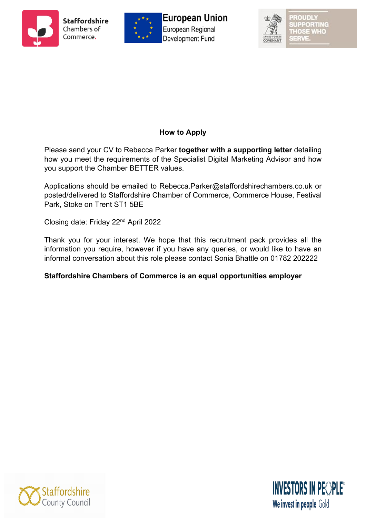





PORTING THOSE WHO

## **How to Apply**

Please send your CV to Rebecca Parker **together with a supporting letter** detailing how you meet the requirements of the Specialist Digital Marketing Advisor and how you support the Chamber BETTER values.

Applications should be emailed to Rebecca.Parker@staffordshirechambers.co.uk or posted/delivered to Staffordshire Chamber of Commerce, Commerce House, Festival Park, Stoke on Trent ST1 5BE

Closing date: Friday 22nd April 2022

Thank you for your interest. We hope that this recruitment pack provides all the information you require, however if you have any queries, or would like to have an informal conversation about this role please contact Sonia Bhattle on 01782 202222

## **Staffordshire Chambers of Commerce is an equal opportunities employer**